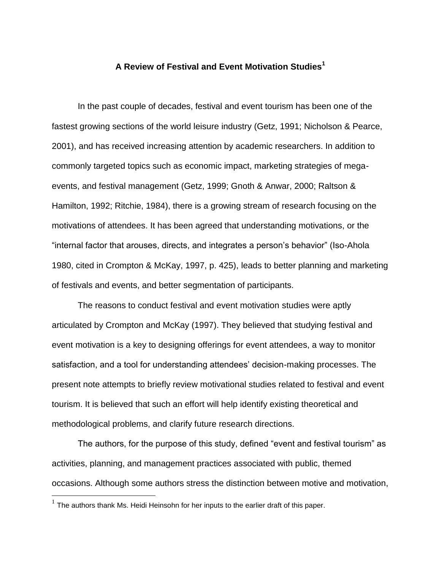## **A Review of Festival and Event Motivation Studies<sup>1</sup>**

In the past couple of decades, festival and event tourism has been one of the fastest growing sections of the world leisure industry (Getz, 1991; Nicholson & Pearce, 2001), and has received increasing attention by academic researchers. In addition to commonly targeted topics such as economic impact, marketing strategies of megaevents, and festival management (Getz, 1999; Gnoth & Anwar, 2000; Raltson & Hamilton, 1992; Ritchie, 1984), there is a growing stream of research focusing on the motivations of attendees. It has been agreed that understanding motivations, or the "internal factor that arouses, directs, and integrates a person's behavior" (Iso-Ahola 1980, cited in Crompton & McKay, 1997, p. 425), leads to better planning and marketing of festivals and events, and better segmentation of participants.

The reasons to conduct festival and event motivation studies were aptly articulated by Crompton and McKay (1997). They believed that studying festival and event motivation is a key to designing offerings for event attendees, a way to monitor satisfaction, and a tool for understanding attendees' decision-making processes. The present note attempts to briefly review motivational studies related to festival and event tourism. It is believed that such an effort will help identify existing theoretical and methodological problems, and clarify future research directions.

The authors, for the purpose of this study, defined "event and festival tourism" as activities, planning, and management practices associated with public, themed occasions. Although some authors stress the distinction between motive and motivation,

The authors thank Ms. Heidi Heinsohn for her inputs to the earlier draft of this paper.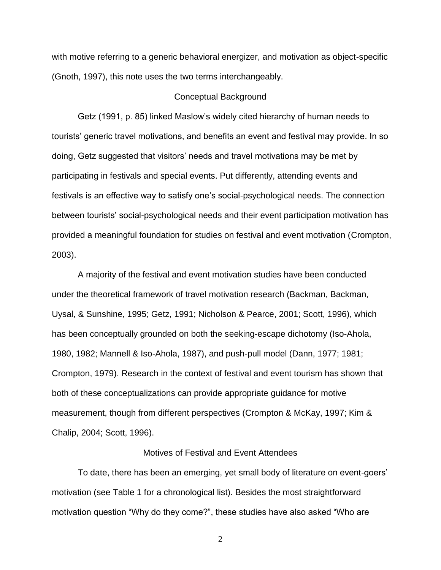with motive referring to a generic behavioral energizer, and motivation as object-specific (Gnoth, 1997), this note uses the two terms interchangeably.

## Conceptual Background

Getz (1991, p. 85) linked Maslow's widely cited hierarchy of human needs to tourists' generic travel motivations, and benefits an event and festival may provide. In so doing, Getz suggested that visitors' needs and travel motivations may be met by participating in festivals and special events. Put differently, attending events and festivals is an effective way to satisfy one's social-psychological needs. The connection between tourists' social-psychological needs and their event participation motivation has provided a meaningful foundation for studies on festival and event motivation (Crompton, 2003).

A majority of the festival and event motivation studies have been conducted under the theoretical framework of travel motivation research (Backman, Backman, Uysal, & Sunshine, 1995; Getz, 1991; Nicholson & Pearce, 2001; Scott, 1996), which has been conceptually grounded on both the seeking-escape dichotomy (Iso-Ahola, 1980, 1982; Mannell & Iso-Ahola, 1987), and push-pull model (Dann, 1977; 1981; Crompton, 1979). Research in the context of festival and event tourism has shown that both of these conceptualizations can provide appropriate guidance for motive measurement, though from different perspectives (Crompton & McKay, 1997; Kim & Chalip, 2004; Scott, 1996).

## Motives of Festival and Event Attendees

To date, there has been an emerging, yet small body of literature on event-goers' motivation (see Table 1 for a chronological list). Besides the most straightforward motivation question "Why do they come?", these studies have also asked "Who are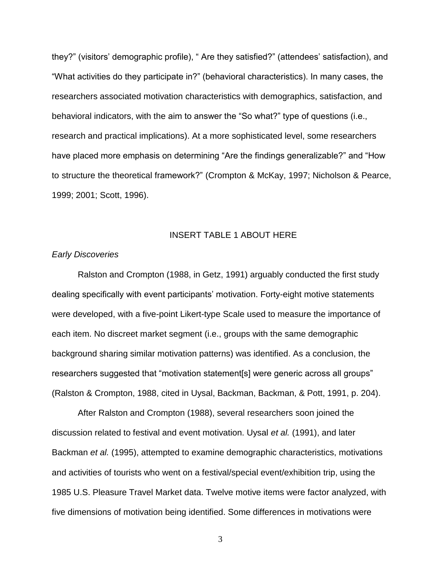they?" (visitors' demographic profile), " Are they satisfied?" (attendees' satisfaction), and "What activities do they participate in?" (behavioral characteristics). In many cases, the researchers associated motivation characteristics with demographics, satisfaction, and behavioral indicators, with the aim to answer the "So what?" type of questions (i.e., research and practical implications). At a more sophisticated level, some researchers have placed more emphasis on determining "Are the findings generalizable?" and "How to structure the theoretical framework?" (Crompton & McKay, 1997; Nicholson & Pearce, 1999; 2001; Scott, 1996).

## INSERT TABLE 1 ABOUT HERE

#### *Early Discoveries*

Ralston and Crompton (1988, in Getz, 1991) arguably conducted the first study dealing specifically with event participants' motivation. Forty-eight motive statements were developed, with a five-point Likert-type Scale used to measure the importance of each item. No discreet market segment (i.e., groups with the same demographic background sharing similar motivation patterns) was identified. As a conclusion, the researchers suggested that "motivation statement[s] were generic across all groups" (Ralston & Crompton, 1988, cited in Uysal, Backman, Backman, & Pott, 1991, p. 204).

After Ralston and Crompton (1988), several researchers soon joined the discussion related to festival and event motivation. Uysal *et al.* (1991), and later Backman *et al.* (1995), attempted to examine demographic characteristics, motivations and activities of tourists who went on a festival/special event/exhibition trip, using the 1985 U.S. Pleasure Travel Market data. Twelve motive items were factor analyzed, with five dimensions of motivation being identified. Some differences in motivations were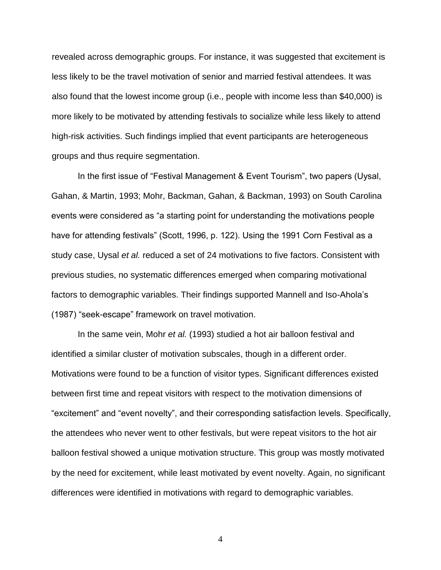revealed across demographic groups. For instance, it was suggested that excitement is less likely to be the travel motivation of senior and married festival attendees. It was also found that the lowest income group (i.e., people with income less than \$40,000) is more likely to be motivated by attending festivals to socialize while less likely to attend high-risk activities. Such findings implied that event participants are heterogeneous groups and thus require segmentation.

In the first issue of "Festival Management & Event Tourism", two papers (Uysal, Gahan, & Martin, 1993; Mohr, Backman, Gahan, & Backman, 1993) on South Carolina events were considered as "a starting point for understanding the motivations people have for attending festivals" (Scott, 1996, p. 122). Using the 1991 Corn Festival as a study case, Uysal *et al.* reduced a set of 24 motivations to five factors. Consistent with previous studies, no systematic differences emerged when comparing motivational factors to demographic variables. Their findings supported Mannell and Iso-Ahola's (1987) "seek-escape" framework on travel motivation.

In the same vein, Mohr *et al.* (1993) studied a hot air balloon festival and identified a similar cluster of motivation subscales, though in a different order. Motivations were found to be a function of visitor types. Significant differences existed between first time and repeat visitors with respect to the motivation dimensions of "excitement" and "event novelty", and their corresponding satisfaction levels. Specifically, the attendees who never went to other festivals, but were repeat visitors to the hot air balloon festival showed a unique motivation structure. This group was mostly motivated by the need for excitement, while least motivated by event novelty. Again, no significant differences were identified in motivations with regard to demographic variables.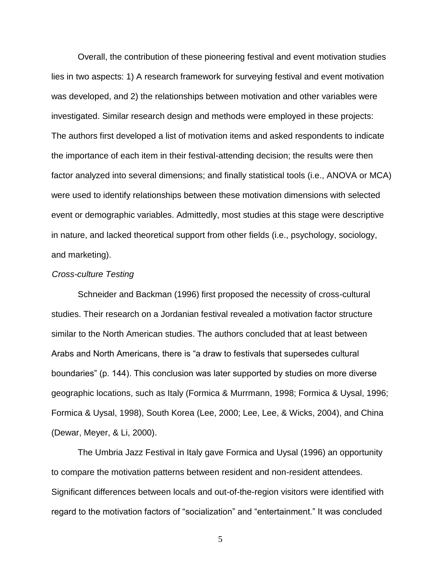Overall, the contribution of these pioneering festival and event motivation studies lies in two aspects: 1) A research framework for surveying festival and event motivation was developed, and 2) the relationships between motivation and other variables were investigated. Similar research design and methods were employed in these projects: The authors first developed a list of motivation items and asked respondents to indicate the importance of each item in their festival-attending decision; the results were then factor analyzed into several dimensions; and finally statistical tools (i.e., ANOVA or MCA) were used to identify relationships between these motivation dimensions with selected event or demographic variables. Admittedly, most studies at this stage were descriptive in nature, and lacked theoretical support from other fields (i.e., psychology, sociology, and marketing).

## *Cross-culture Testing*

Schneider and Backman (1996) first proposed the necessity of cross-cultural studies. Their research on a Jordanian festival revealed a motivation factor structure similar to the North American studies. The authors concluded that at least between Arabs and North Americans, there is "a draw to festivals that supersedes cultural boundaries" (p. 144). This conclusion was later supported by studies on more diverse geographic locations, such as Italy (Formica & Murrmann, 1998; Formica & Uysal, 1996; Formica & Uysal, 1998), South Korea (Lee, 2000; Lee, Lee, & Wicks, 2004), and China (Dewar, Meyer, & Li, 2000).

The Umbria Jazz Festival in Italy gave Formica and Uysal (1996) an opportunity to compare the motivation patterns between resident and non-resident attendees. Significant differences between locals and out-of-the-region visitors were identified with regard to the motivation factors of "socialization" and "entertainment." It was concluded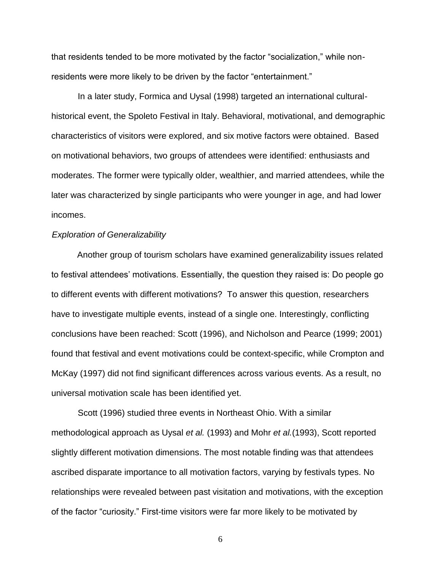that residents tended to be more motivated by the factor "socialization," while nonresidents were more likely to be driven by the factor "entertainment."

In a later study, Formica and Uysal (1998) targeted an international culturalhistorical event, the Spoleto Festival in Italy. Behavioral, motivational, and demographic characteristics of visitors were explored, and six motive factors were obtained. Based on motivational behaviors, two groups of attendees were identified: enthusiasts and moderates. The former were typically older, wealthier, and married attendees, while the later was characterized by single participants who were younger in age, and had lower incomes.

## *Exploration of Generalizability*

Another group of tourism scholars have examined generalizability issues related to festival attendees' motivations. Essentially, the question they raised is: Do people go to different events with different motivations? To answer this question, researchers have to investigate multiple events, instead of a single one. Interestingly, conflicting conclusions have been reached: Scott (1996), and Nicholson and Pearce (1999; 2001) found that festival and event motivations could be context-specific, while Crompton and McKay (1997) did not find significant differences across various events. As a result, no universal motivation scale has been identified yet.

Scott (1996) studied three events in Northeast Ohio. With a similar methodological approach as Uysal *et al.* (1993) and Mohr *et al.*(1993), Scott reported slightly different motivation dimensions. The most notable finding was that attendees ascribed disparate importance to all motivation factors, varying by festivals types. No relationships were revealed between past visitation and motivations, with the exception of the factor "curiosity." First-time visitors were far more likely to be motivated by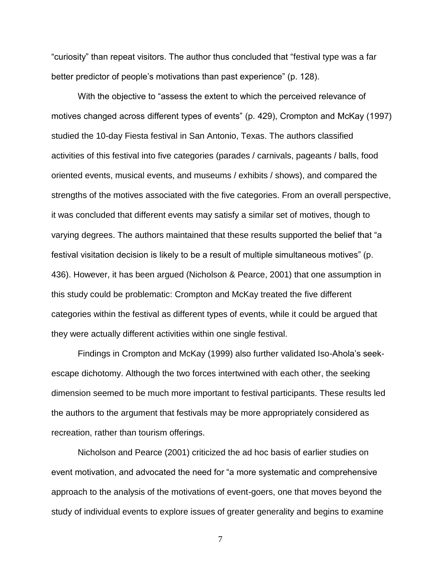"curiosity" than repeat visitors. The author thus concluded that "festival type was a far better predictor of people's motivations than past experience" (p. 128).

With the objective to "assess the extent to which the perceived relevance of motives changed across different types of events" (p. 429), Crompton and McKay (1997) studied the 10-day Fiesta festival in San Antonio, Texas. The authors classified activities of this festival into five categories (parades / carnivals, pageants / balls, food oriented events, musical events, and museums / exhibits / shows), and compared the strengths of the motives associated with the five categories. From an overall perspective, it was concluded that different events may satisfy a similar set of motives, though to varying degrees. The authors maintained that these results supported the belief that "a festival visitation decision is likely to be a result of multiple simultaneous motives" (p. 436). However, it has been argued (Nicholson & Pearce, 2001) that one assumption in this study could be problematic: Crompton and McKay treated the five different categories within the festival as different types of events, while it could be argued that they were actually different activities within one single festival.

Findings in Crompton and McKay (1999) also further validated Iso-Ahola's seekescape dichotomy. Although the two forces intertwined with each other, the seeking dimension seemed to be much more important to festival participants. These results led the authors to the argument that festivals may be more appropriately considered as recreation, rather than tourism offerings.

Nicholson and Pearce (2001) criticized the ad hoc basis of earlier studies on event motivation, and advocated the need for "a more systematic and comprehensive approach to the analysis of the motivations of event-goers, one that moves beyond the study of individual events to explore issues of greater generality and begins to examine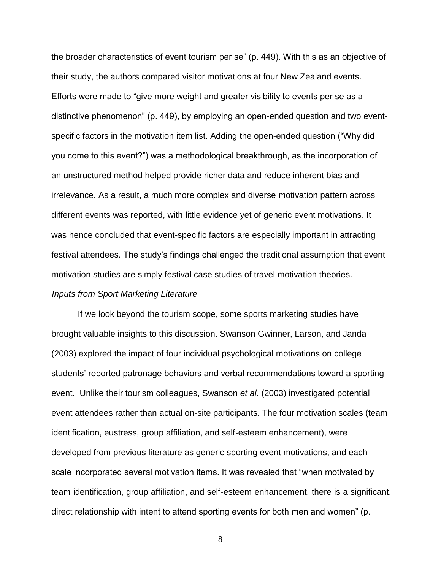the broader characteristics of event tourism per se" (p. 449). With this as an objective of their study, the authors compared visitor motivations at four New Zealand events. Efforts were made to "give more weight and greater visibility to events per se as a distinctive phenomenon" (p. 449), by employing an open-ended question and two eventspecific factors in the motivation item list. Adding the open-ended question ("Why did you come to this event?") was a methodological breakthrough, as the incorporation of an unstructured method helped provide richer data and reduce inherent bias and irrelevance. As a result, a much more complex and diverse motivation pattern across different events was reported, with little evidence yet of generic event motivations. It was hence concluded that event-specific factors are especially important in attracting festival attendees. The study's findings challenged the traditional assumption that event motivation studies are simply festival case studies of travel motivation theories. *Inputs from Sport Marketing Literature*

If we look beyond the tourism scope, some sports marketing studies have brought valuable insights to this discussion. Swanson Gwinner, Larson, and Janda (2003) explored the impact of four individual psychological motivations on college students' reported patronage behaviors and verbal recommendations toward a sporting event. Unlike their tourism colleagues, Swanson *et al.* (2003) investigated potential event attendees rather than actual on-site participants. The four motivation scales (team identification, eustress, group affiliation, and self-esteem enhancement), were developed from previous literature as generic sporting event motivations, and each scale incorporated several motivation items. It was revealed that "when motivated by team identification, group affiliation, and self-esteem enhancement, there is a significant, direct relationship with intent to attend sporting events for both men and women" (p.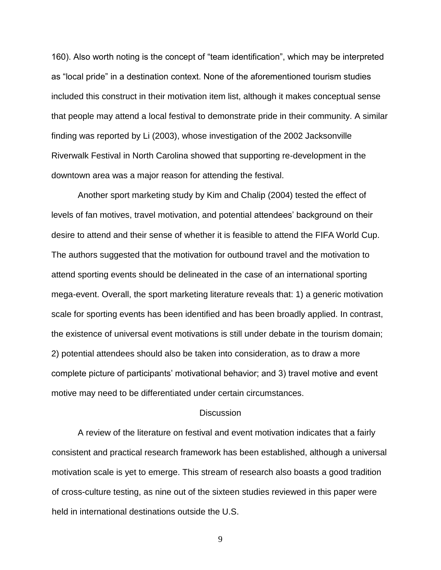160). Also worth noting is the concept of "team identification", which may be interpreted as "local pride" in a destination context. None of the aforementioned tourism studies included this construct in their motivation item list, although it makes conceptual sense that people may attend a local festival to demonstrate pride in their community. A similar finding was reported by Li (2003), whose investigation of the 2002 Jacksonville Riverwalk Festival in North Carolina showed that supporting re-development in the downtown area was a major reason for attending the festival.

Another sport marketing study by Kim and Chalip (2004) tested the effect of levels of fan motives, travel motivation, and potential attendees' background on their desire to attend and their sense of whether it is feasible to attend the FIFA World Cup. The authors suggested that the motivation for outbound travel and the motivation to attend sporting events should be delineated in the case of an international sporting mega-event. Overall, the sport marketing literature reveals that: 1) a generic motivation scale for sporting events has been identified and has been broadly applied. In contrast, the existence of universal event motivations is still under debate in the tourism domain; 2) potential attendees should also be taken into consideration, as to draw a more complete picture of participants' motivational behavior; and 3) travel motive and event motive may need to be differentiated under certain circumstances.

### **Discussion**

A review of the literature on festival and event motivation indicates that a fairly consistent and practical research framework has been established, although a universal motivation scale is yet to emerge. This stream of research also boasts a good tradition of cross-culture testing, as nine out of the sixteen studies reviewed in this paper were held in international destinations outside the U.S.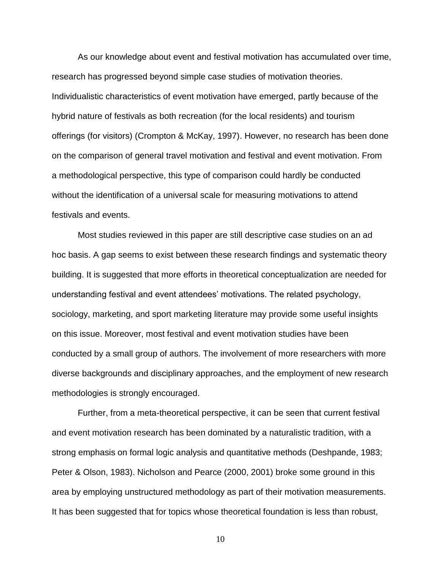As our knowledge about event and festival motivation has accumulated over time, research has progressed beyond simple case studies of motivation theories. Individualistic characteristics of event motivation have emerged, partly because of the hybrid nature of festivals as both recreation (for the local residents) and tourism offerings (for visitors) (Crompton & McKay, 1997). However, no research has been done on the comparison of general travel motivation and festival and event motivation. From a methodological perspective, this type of comparison could hardly be conducted without the identification of a universal scale for measuring motivations to attend festivals and events.

Most studies reviewed in this paper are still descriptive case studies on an ad hoc basis. A gap seems to exist between these research findings and systematic theory building. It is suggested that more efforts in theoretical conceptualization are needed for understanding festival and event attendees' motivations. The related psychology, sociology, marketing, and sport marketing literature may provide some useful insights on this issue. Moreover, most festival and event motivation studies have been conducted by a small group of authors. The involvement of more researchers with more diverse backgrounds and disciplinary approaches, and the employment of new research methodologies is strongly encouraged.

Further, from a meta-theoretical perspective, it can be seen that current festival and event motivation research has been dominated by a naturalistic tradition, with a strong emphasis on formal logic analysis and quantitative methods (Deshpande, 1983; Peter & Olson, 1983). Nicholson and Pearce (2000, 2001) broke some ground in this area by employing unstructured methodology as part of their motivation measurements. It has been suggested that for topics whose theoretical foundation is less than robust,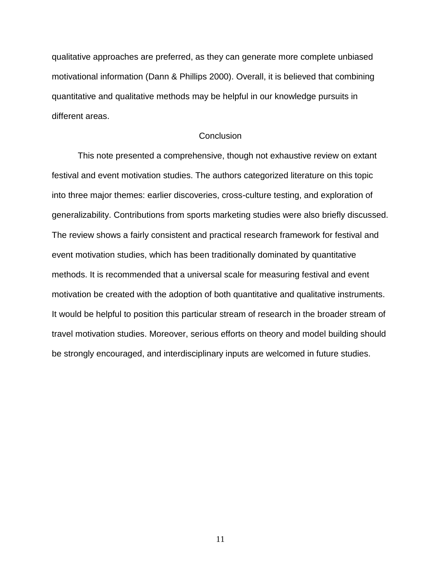qualitative approaches are preferred, as they can generate more complete unbiased motivational information (Dann & Phillips 2000). Overall, it is believed that combining quantitative and qualitative methods may be helpful in our knowledge pursuits in different areas.

## **Conclusion**

This note presented a comprehensive, though not exhaustive review on extant festival and event motivation studies. The authors categorized literature on this topic into three major themes: earlier discoveries, cross-culture testing, and exploration of generalizability. Contributions from sports marketing studies were also briefly discussed. The review shows a fairly consistent and practical research framework for festival and event motivation studies, which has been traditionally dominated by quantitative methods. It is recommended that a universal scale for measuring festival and event motivation be created with the adoption of both quantitative and qualitative instruments. It would be helpful to position this particular stream of research in the broader stream of travel motivation studies. Moreover, serious efforts on theory and model building should be strongly encouraged, and interdisciplinary inputs are welcomed in future studies.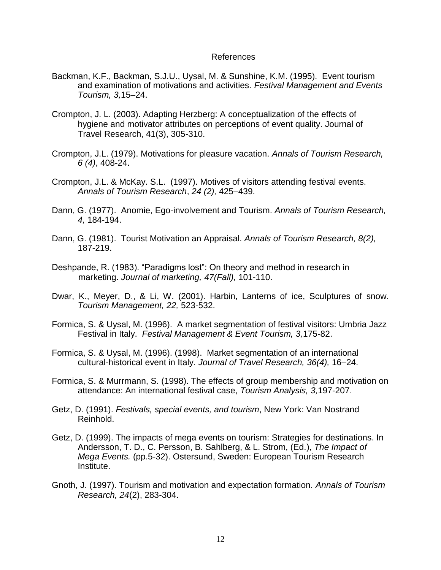## References

- Backman, K.F., Backman, S.J.U., Uysal, M. & Sunshine, K.M. (1995). Event tourism and examination of motivations and activities. *Festival Management and Events Tourism, 3,*15–24.
- Crompton, J. L. (2003). Adapting Herzberg: A conceptualization of the effects of hygiene and motivator attributes on perceptions of event quality. Journal of Travel Research, 41(3), 305-310.
- Crompton, J.L. (1979). Motivations for pleasure vacation. *Annals of Tourism Research, 6 (4)*, 408-24.
- Crompton, J.L. & McKay. S.L. (1997). Motives of visitors attending festival events. *Annals of Tourism Research*, *24 (2),* 425–439.
- Dann, G. (1977). Anomie, Ego-involvement and Tourism. *Annals of Tourism Research, 4,* 184-194.
- Dann, G. (1981). Tourist Motivation an Appraisal. *Annals of Tourism Research, 8(2),* 187-219.
- Deshpande, R. (1983). "Paradigms lost": On theory and method in research in marketing. *Journal of marketing, 47(Fall),* 101-110.
- Dwar, K., Meyer, D., & Li, W. (2001). Harbin, Lanterns of ice, Sculptures of snow. *Tourism Management, 22,* 523-532.
- Formica, S. & Uysal, M. (1996). A market segmentation of festival visitors: Umbria Jazz Festival in Italy. *Festival Management & Event Tourism, 3,*175-82.
- Formica, S. & Uysal, M. (1996). (1998). Market segmentation of an international cultural-historical event in Italy. *Journal of Travel Research, 36(4),* 16–24.
- Formica, S. & Murrmann, S. (1998). The effects of group membership and motivation on attendance: An international festival case, *Tourism Analysis, 3,*197-207.
- Getz, D. (1991). *Festivals, special events, and tourism*, New York: Van Nostrand Reinhold.
- Getz, D. (1999). The impacts of mega events on tourism: Strategies for destinations. In Andersson, T. D., C. Persson, B. Sahlberg, & L. Strom, (Ed.), *The Impact of Mega Events.* (pp.5-32). Ostersund, Sweden: European Tourism Research Institute.
- Gnoth, J. (1997). Tourism and motivation and expectation formation. *Annals of Tourism Research, 24*(2), 283-304.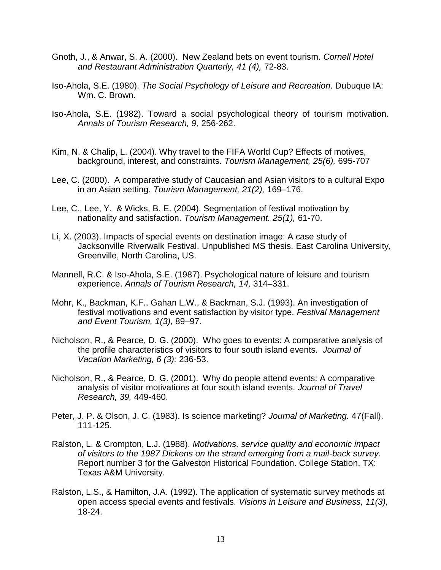- Gnoth, J., & Anwar, S. A. (2000). New Zealand bets on event tourism. *Cornell Hotel and Restaurant Administration Quarterly, 41 (4),* 72-83.
- Iso-Ahola, S.E. (1980). *The Social Psychology of Leisure and Recreation,* Dubuque IA: Wm. C. Brown.
- Iso-Ahola, S.E. (1982). Toward a social psychological theory of tourism motivation. *Annals of Tourism Research, 9,* 256-262.
- Kim, N. & Chalip, L. (2004). Why travel to the FIFA World Cup? Effects of motives, background, interest, and constraints. *Tourism Management, 25(6),* 695-707
- Lee, C. (2000). A comparative study of Caucasian and Asian visitors to a cultural Expo in an Asian setting. *Tourism Management, 21(2),* 169–176.
- Lee, C., Lee, Y. & Wicks, B. E. (2004). Segmentation of festival motivation by nationality and satisfaction. *Tourism Management. 25(1),* 61-70.
- Li, X. (2003). Impacts of special events on destination image: A case study of Jacksonville Riverwalk Festival. Unpublished MS thesis. East Carolina University, Greenville, North Carolina, US.
- Mannell, R.C. & Iso-Ahola, S.E. (1987). Psychological nature of leisure and tourism experience. *Annals of Tourism Research, 14,* 314–331.
- Mohr, K., Backman, K.F., Gahan L.W., & Backman, S.J. (1993). An investigation of festival motivations and event satisfaction by visitor type. *Festival Management and Event Tourism, 1(3),* 89–97.
- Nicholson, R., & Pearce, D. G. (2000). Who goes to events: A comparative analysis of the profile characteristics of visitors to four south island events. *Journal of Vacation Marketing, 6 (3):* 236-53.
- Nicholson, R., & Pearce, D. G. (2001). Why do people attend events: A comparative analysis of visitor motivations at four south island events. *Journal of Travel Research, 39,* 449-460.
- Peter, J. P. & Olson, J. C. (1983). Is science marketing? *Journal of Marketing.* 47(Fall). 111-125.
- Ralston, L. & Crompton, L.J. (1988). *Motivations, service quality and economic impact of visitors to the 1987 Dickens on the strand emerging from a mail-back survey.*  Report number 3 for the Galveston Historical Foundation. College Station, TX: Texas A&M University.
- Ralston, L.S., & Hamilton, J.A. (1992). The application of systematic survey methods at open access special events and festivals. *Visions in Leisure and Business, 11(3),* 18-24.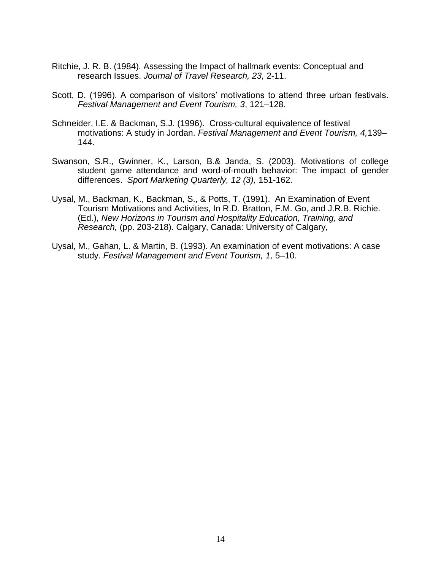- Ritchie, J. R. B. (1984). Assessing the Impact of hallmark events: Conceptual and research Issues. *Journal of Travel Research, 23,* 2-11.
- Scott, D. (1996). A comparison of visitors' motivations to attend three urban festivals. *Festival Management and Event Tourism, 3*, 121–128.
- Schneider, I.E. & Backman, S.J. (1996). Cross-cultural equivalence of festival motivations: A study in Jordan. *Festival Management and Event Tourism, 4,*139– 144.
- Swanson, S.R., Gwinner, K., Larson, B.& Janda, S. (2003). Motivations of college student game attendance and word-of-mouth behavior: The impact of gender differences. *Sport Marketing Quarterly, 12 (3),* 151-162.
- Uysal, M., Backman, K., Backman, S., & Potts, T. (1991). An Examination of Event Tourism Motivations and Activities, In R.D. Bratton, F.M. Go, and J.R.B. Richie. (Ed.), *New Horizons in Tourism and Hospitality Education, Training, and Research,* (pp. 203-218). Calgary, Canada: University of Calgary,
- Uysal, M., Gahan, L. & Martin, B. (1993). An examination of event motivations: A case study. *Festival Management and Event Tourism, 1,* 5–10.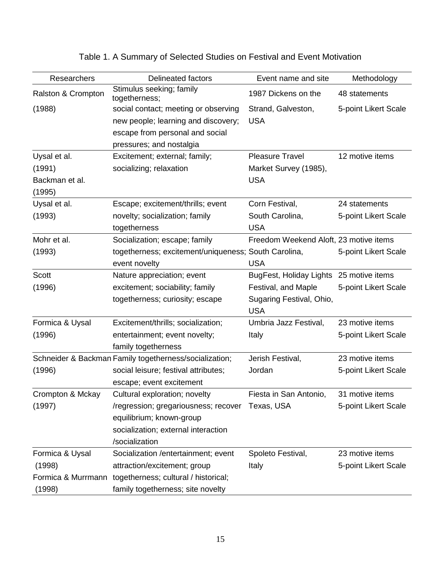| Researchers                                        | <b>Delineated factors</b>                                                                                                                                           | Event name and site                                                                                      | Methodology                             |
|----------------------------------------------------|---------------------------------------------------------------------------------------------------------------------------------------------------------------------|----------------------------------------------------------------------------------------------------------|-----------------------------------------|
| Ralston & Crompton                                 | Stimulus seeking; family<br>togetherness;                                                                                                                           | 1987 Dickens on the                                                                                      | 48 statements                           |
| (1988)                                             | social contact; meeting or observing<br>new people; learning and discovery;<br>escape from personal and social                                                      | Strand, Galveston,<br><b>USA</b>                                                                         | 5-point Likert Scale                    |
|                                                    | pressures; and nostalgia                                                                                                                                            |                                                                                                          |                                         |
| Uysal et al.<br>(1991)<br>Backman et al.<br>(1995) | Excitement; external; family;<br>socializing; relaxation                                                                                                            | <b>Pleasure Travel</b><br>Market Survey (1985),<br><b>USA</b>                                            | 12 motive items                         |
| Uysal et al.<br>(1993)                             | Escape; excitement/thrills; event<br>novelty; socialization; family<br>togetherness                                                                                 | Corn Festival,<br>South Carolina,<br><b>USA</b>                                                          | 24 statements<br>5-point Likert Scale   |
| Mohr et al.<br>(1993)                              | Socialization; escape; family<br>togetherness; excitement/uniqueness; South Carolina,<br>event novelty                                                              | Freedom Weekend Aloft, 23 motive items<br><b>USA</b>                                                     | 5-point Likert Scale                    |
| <b>Scott</b><br>(1996)                             | Nature appreciation; event<br>excitement; sociability; family<br>togetherness; curiosity; escape                                                                    | BugFest, Holiday Lights 25 motive items<br>Festival, and Maple<br>Sugaring Festival, Ohio,<br><b>USA</b> | 5-point Likert Scale                    |
| Formica & Uysal<br>(1996)                          | Excitement/thrills; socialization;<br>entertainment; event novelty;<br>family togetherness                                                                          | Umbria Jazz Festival,<br>Italy                                                                           | 23 motive items<br>5-point Likert Scale |
| (1996)                                             | Schneider & Backman Family togetherness/socialization;<br>social leisure; festival attributes;<br>escape; event excitement                                          | Jerish Festival,<br>Jordan                                                                               | 23 motive items<br>5-point Likert Scale |
| Crompton & Mckay<br>(1997)                         | Cultural exploration; novelty<br>/regression; gregariousness; recover<br>equilibrium; known-group<br>socialization; external interaction<br>/socialization          | Fiesta in San Antonio,<br>Texas, USA                                                                     | 31 motive items<br>5-point Likert Scale |
| Formica & Uysal<br>(1998)<br>(1998)                | Socialization /entertainment; event<br>attraction/excitement; group<br>Formica & Murrmann togetherness; cultural / historical;<br>family togetherness; site novelty | Spoleto Festival,<br>Italy                                                                               | 23 motive items<br>5-point Likert Scale |

# Table 1. A Summary of Selected Studies on Festival and Event Motivation